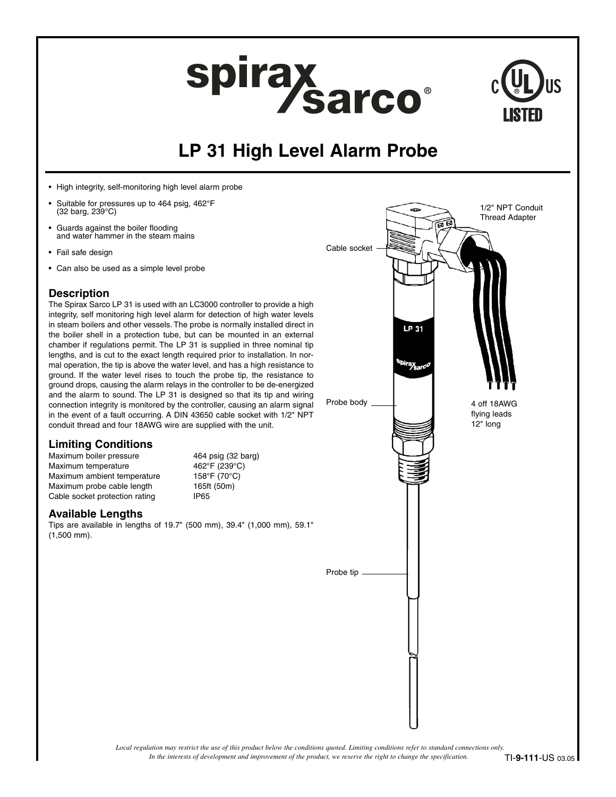# spirax<br>Sarco<sup>®</sup>



## **LP 31 High Level Alarm Probe**

- High integrity, self-monitoring high level alarm probe
- Suitable for pressures up to 464 psig, 462°F (32 barg, 239°C)
- Guards against the boiler flooding and water hammer in the steam mains
- Fail safe design
- Can also be used as a simple level probe

## **Description**

The Spirax Sarco LP 31 is used with an LC3000 controller to provide a high integrity, self monitoring high level alarm for detection of high water levels in steam boilers and other vessels. The probe is normally installed direct in the boiler shell in a protection tube, but can be mounted in an external chamber if regulations permit. The LP 31 is supplied in three nominal tip lengths, and is cut to the exact length required prior to installation. In normal operation, the tip is above the water level, and has a high resistance to ground. If the water level rises to touch the probe tip, the resistance to ground drops, causing the alarm relays in the controller to be de-energized and the alarm to sound. The LP 31 is designed so that its tip and wiring connection integrity is monitored by the controller, causing an alarm signal in the event of a fault occurring. A DIN 43650 cable socket with 1/2" NPT conduit thread and four 18AWG wire are supplied with the unit.

## **Limiting Conditions**

Maximum boiler pressure 464 psig (32 barg)<br>Maximum temperature 462°F (239°C) Maximum temperature Maximum ambient temperature 158°F (70°C) Maximum probe cable length 165ft (50m) Cable socket protection rating IP65

## **Available Lengths**

Tips are available in lengths of 19.7" (500 mm), 39.4" (1,000 mm), 59.1" (1,500 mm).



*In the interests of development and improvement of the product, we reserve the right to change the specification. Local regulation may restrict the use of this product below the conditions quoted. Limiting conditions refer to standard connections only.*